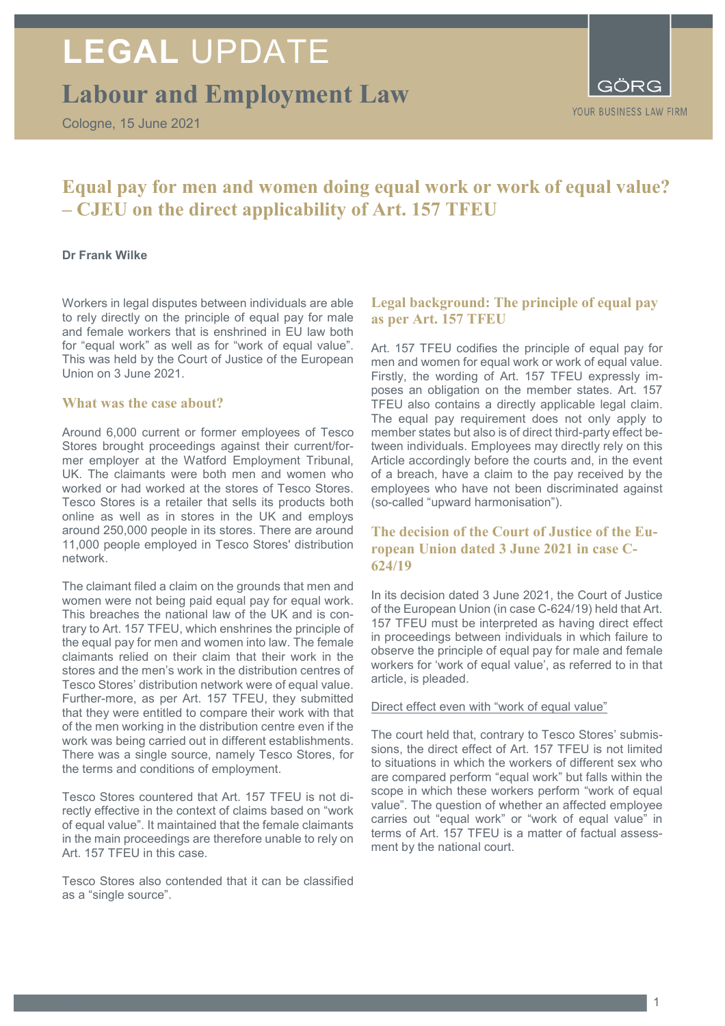# **LEGAL** UPDATE

# **Labour and Employment Law**

Cologne, 15 June 2021

GÖRG YOUR BUSINESS LAW FIRM

# **Equal pay for men and women doing equal work or work of equal value? – CJEU on the direct applicability of Art. 157 TFEU**

#### **Dr Frank Wilke**

Workers in legal disputes between individuals are able to rely directly on the principle of equal pay for male and female workers that is enshrined in EU law both for "equal work" as well as for "work of equal value". This was held by the Court of Justice of the European Union on 3 June 2021.

### **What was the case about?**

Around 6,000 current or former employees of Tesco Stores brought proceedings against their current/former employer at the Watford Employment Tribunal, UK. The claimants were both men and women who worked or had worked at the stores of Tesco Stores. Tesco Stores is a retailer that sells its products both online as well as in stores in the UK and employs around 250,000 people in its stores. There are around 11,000 people employed in Tesco Stores' distribution network.

The claimant filed a claim on the grounds that men and women were not being paid equal pay for equal work. This breaches the national law of the UK and is contrary to Art. 157 TFEU, which enshrines the principle of the equal pay for men and women into law. The female claimants relied on their claim that their work in the stores and the men's work in the distribution centres of Tesco Stores' distribution network were of equal value. Further-more, as per Art. 157 TFEU, they submitted that they were entitled to compare their work with that of the men working in the distribution centre even if the work was being carried out in different establishments. There was a single source, namely Tesco Stores, for the terms and conditions of employment.

Tesco Stores countered that Art. 157 TFEU is not directly effective in the context of claims based on "work of equal value". It maintained that the female claimants in the main proceedings are therefore unable to rely on Art. 157 TFEU in this case.

Tesco Stores also contended that it can be classified as a "single source".

# **Legal background: The principle of equal pay as per Art. 157 TFEU**

Art. 157 TFEU codifies the principle of equal pay for men and women for equal work or work of equal value. Firstly, the wording of Art. 157 TFEU expressly imposes an obligation on the member states. Art. 157 TFEU also contains a directly applicable legal claim. The equal pay requirement does not only apply to member states but also is of direct third-party effect between individuals. Employees may directly rely on this Article accordingly before the courts and, in the event of a breach, have a claim to the pay received by the employees who have not been discriminated against (so-called "upward harmonisation").

## **The decision of the Court of Justice of the European Union dated 3 June 2021 in case C-624/19**

In its decision dated 3 June 2021, the Court of Justice of the European Union (in case C-624/19) held that Art. 157 TFEU must be interpreted as having direct effect in proceedings between individuals in which failure to observe the principle of equal pay for male and female workers for 'work of equal value', as referred to in that article, is pleaded.

#### Direct effect even with "work of equal value"

The court held that, contrary to Tesco Stores' submissions, the direct effect of Art. 157 TFEU is not limited to situations in which the workers of different sex who are compared perform "equal work" but falls within the scope in which these workers perform "work of equal value". The question of whether an affected employee carries out "equal work" or "work of equal value" in terms of Art. 157 TFEU is a matter of factual assessment by the national court.